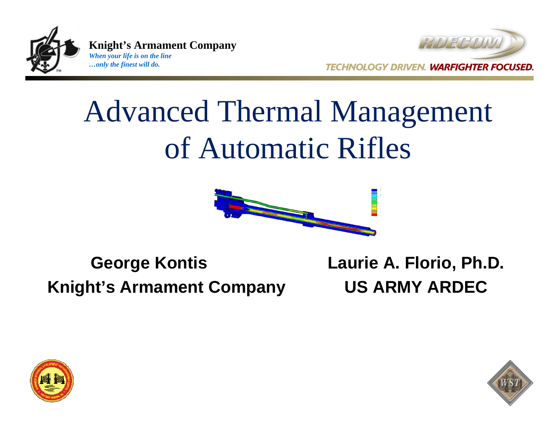



# Advanced Thermal Management of Automatic Rifles



### **George Kontis Laurie A. Florio, Ph.D. Knight's Armament Company US ARMY ARDEC**



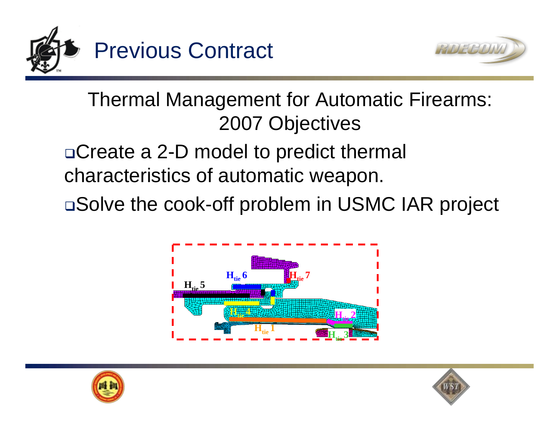



Thermal Management for Automatic Firearms: 2007 Objectives

Create a 2-D model to predict thermal characteristics of automatic weapon.

Solve the cook-off problem in USMC IAR project





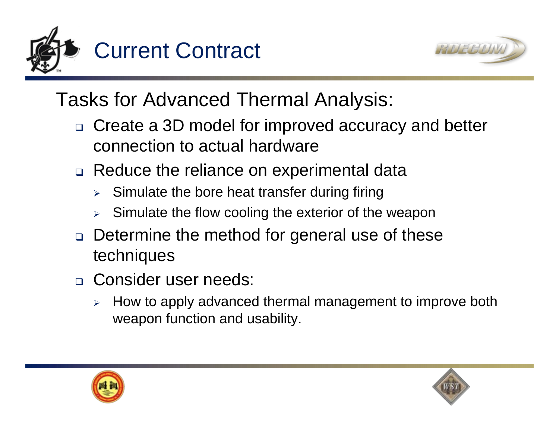



## Tasks for Advanced Thermal Analysis:

- □ Create a 3D model for improved accuracy and better connection to actual hardware
- □ Reduce the reliance on experimental data
	- ¾Simulate the bore heat transfer during firing
	- ¾Simulate the flow cooling the exterior of the weapon
- □ Determine the method for general use of these techniques
- Consider user needs:
	- $\blacktriangleright$  How to apply advanced thermal management to improve both weapon function and usability.



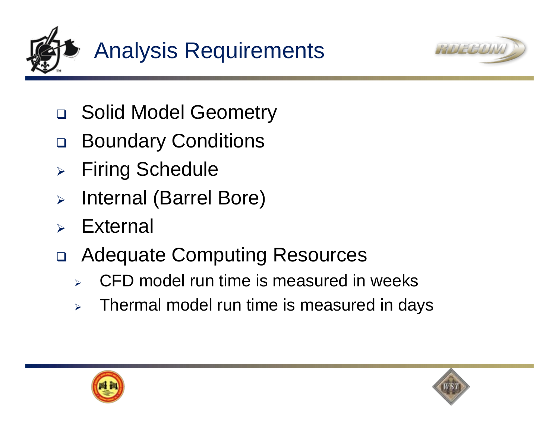



- $\Box$ Solid Model Geometry
- $\Box$ Boundary Conditions
- ¾Firing Schedule
- $\blacktriangleright$ Internal (Barrel Bore)
- ¾**External**
- $\Box$  Adequate Computing Resources
	- $\blacktriangleright$ CFD model run time is measured in weeks
	- $\blacktriangleright$ Thermal model run time is measured in days



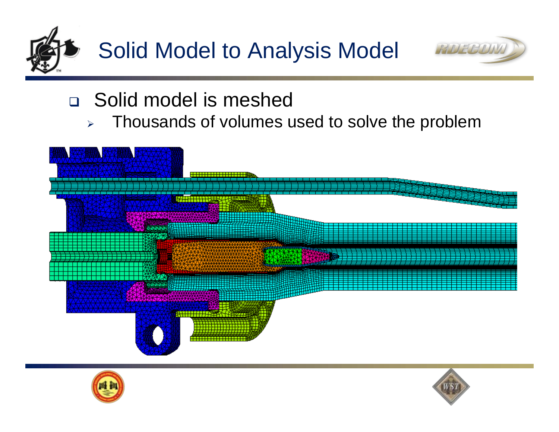



#### □ Solid model is meshed

 $\blacktriangleright$ Thousands of volumes used to solve the problem





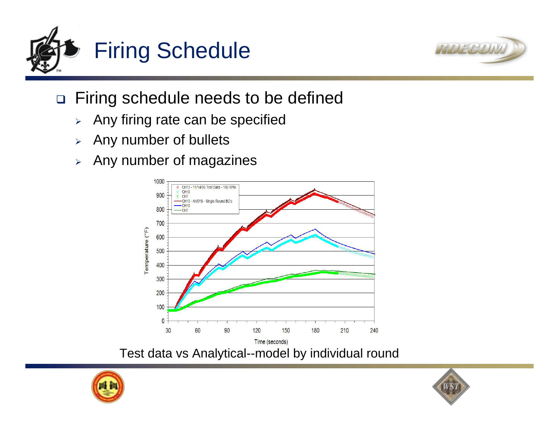



#### $\Box$ Firing schedule needs to be defined

- $\blacktriangleright$ Any firing rate can be specified
- $\blacktriangleright$ Any number of bullets
- $\blacktriangleright$ Any number of magazines



Test data vs Analytical--model by individual round



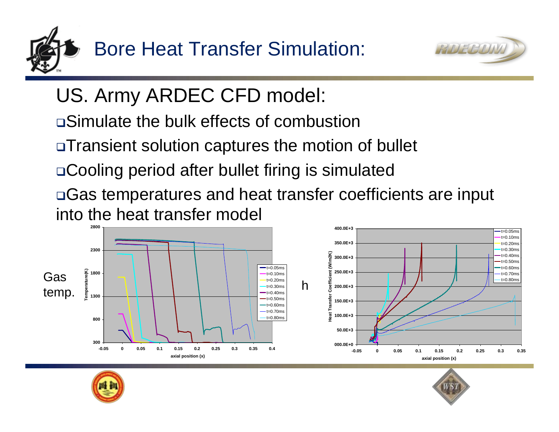



# US. Army ARDEC CFD model:

- Simulate the bulk effects of combustion
- □Transient solution captures the motion of bullet
- Cooling period after bullet firing is simulated
- Gas temperatures and heat transfer coefficients are input into the heat transfer model



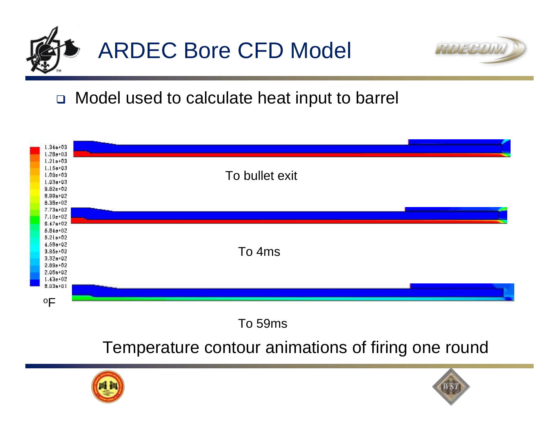



#### Model used to calculate heat input to barrel



To 59ms

Temperature contour animations of firing one round



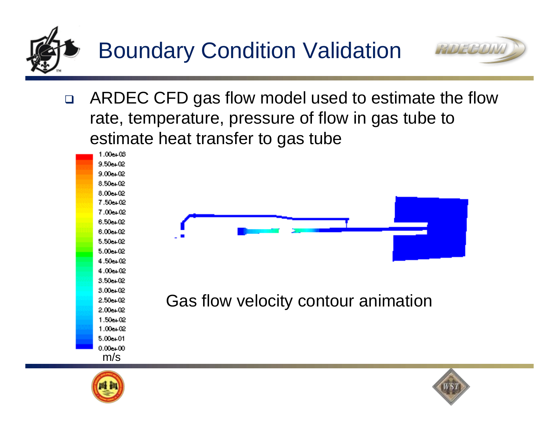



RIDEGOV

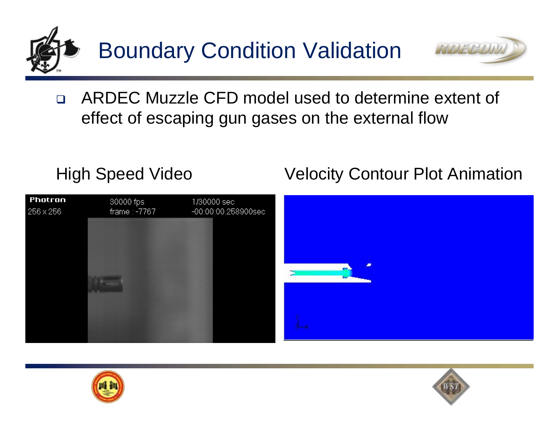



 $\Box$  ARDEC Muzzle CFD model used to determine extent of effect of escaping gun gases on the external flow



#### High Speed Video **Velocity Contour Plot Animation**





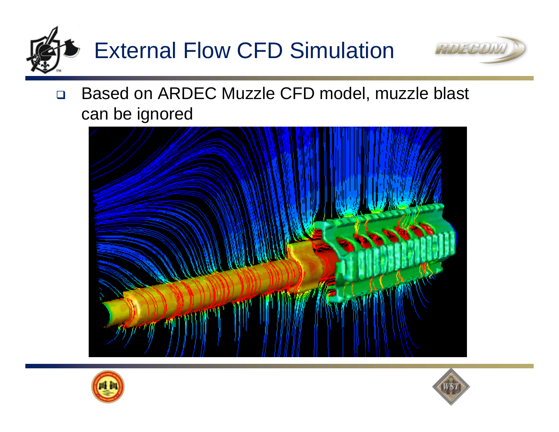



 $\Box$  Based on ARDEC Muzzle CFD model, muzzle blast can be ignored





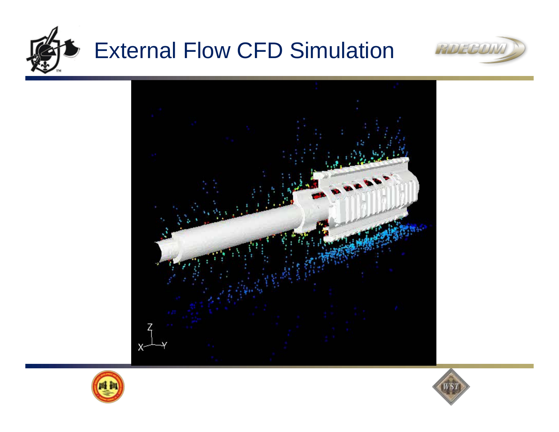

# External Flow CFD Simulation







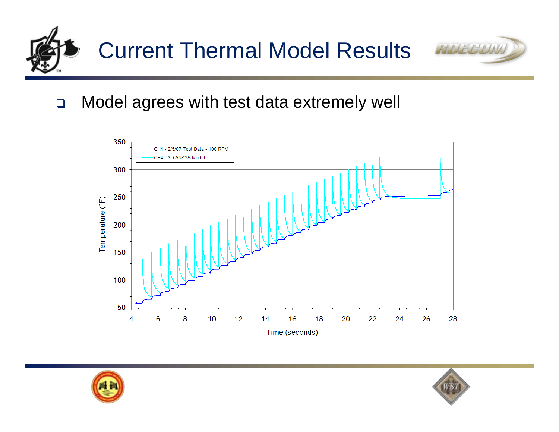



 $\Box$ Model agrees with test data extremely well





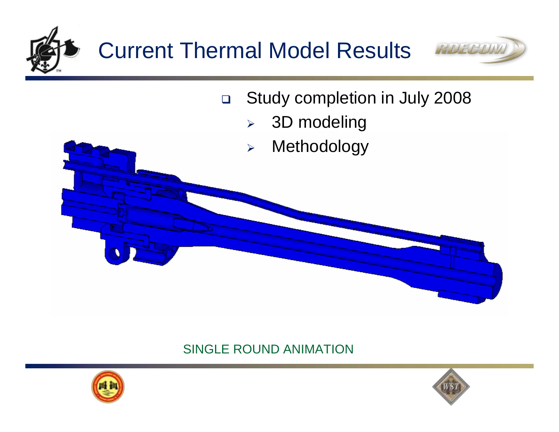



- $\Box$  Study completion in July 2008
	- $\blacktriangleright$ 3D modeling
	- $\blacktriangleright$ Methodology

#### SINGLE ROUND ANIMATION